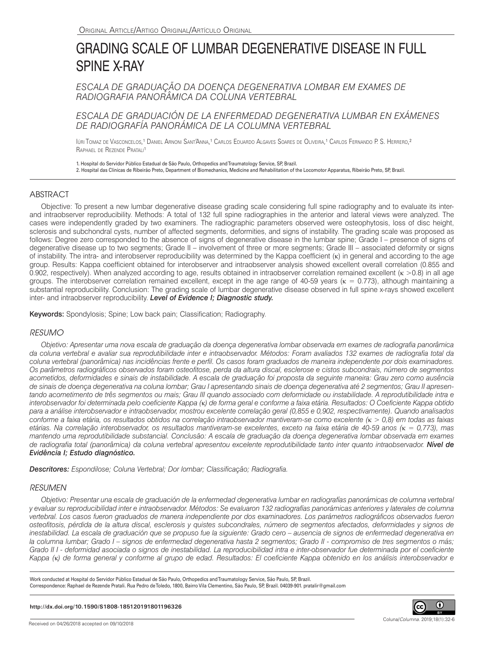# GRADING SCALE OF LUMBAR DEGENERATIVE DISEASE IN FULL SPINE X-RAY

*ESCALA DE GRADUAÇÃO DA DOENÇA DEGENERATIVA LOMBAR EM EXAMES DE RADIOGRAFIA PANORÂMICA DA COLUNA VERTEBRAL*

*ESCALA DE GRADUACIÓN DE LA ENFERMEDAD DEGENERATIVA LUMBAR EN EXÁMENES DE RADIOGRAFÍA PANORÁMICA DE LA COLUMNA VERTEBRAL*

Iúri Tomaz de Vasconcelos,<sup>1</sup> Daniel Arnoni Sant'Anna,<sup>1</sup> Carlos Eduardo Algaves Soares de Oliveira,<sup>1</sup> Carlos Fernando P. S. Herrero,<sup>2</sup> RAPHAEL DE REZENDE PRATALI<sup>1</sup>

1. Hospital do Servidor Público Estadual de São Paulo, Orthopedics and Traumatology Service, SP, Brazil.

2. Hospital das Clínicas de Ribeirão Preto, Department of Biomechanics, Medicine and Rehabilitation of the Locomotor Apparatus, Ribeirão Preto, SP, Brazil.

# **ABSTRACT**

Objective: To present a new lumbar degenerative disease grading scale considering full spine radiography and to evaluate its interand intraobserver reproducibility. Methods: A total of 132 full spine radiographies in the anterior and lateral views were analyzed. The cases were independently graded by two examiners. The radiographic parameters observed were osteophytosis, loss of disc height, sclerosis and subchondral cysts, number of affected segments, deformities, and signs of instability. The grading scale was proposed as follows: Degree zero corresponded to the absence of signs of degenerative disease in the lumbar spine; Grade I – presence of signs of degenerative disease up to two segments; Grade II – involvement of three or more segments; Grade III – associated deformity or signs of instability. The intra- and interobserver reproducibility was determined by the Kappa coefficient (κ) in general and according to the age group. Results: Kappa coefficient obtained for interobserver and intraobserver analysis showed excellent overall correlation (0.855 and 0.902, respectively). When analyzed according to age, results obtained in intraobserver correlation remained excellent (κ >0.8) in all age groups. The interobserver correlation remained excellent, except in the age range of 40-59 years (κ = 0.773), although maintaining a substantial reproducibility. Conclusion: The grading scale of lumbar degenerative disease observed in full spine x-rays showed excellent inter- and intraobserver reproducibility. *Level of Evidence I; Diagnostic study.*

Keywords: Spondylosis; Spine; Low back pain; Classification; Radiography.

## *RESUMO*

*Objetivo: Apresentar uma nova escala de graduação da doença degenerativa lombar observada em exames de radiografia panorâmica da coluna vertebral e avaliar sua reprodutibilidade inter e intraobservador. Métodos: Foram avaliados 132 exames de radiografia total da coluna vertebral (panorâmica) nas incidências frente e perfil. Os casos foram graduados de maneira independente por dois examinadores. Os parâmetros radiográficos observados foram osteofitose, perda da altura discal, esclerose e cistos subcondrais, número de segmentos acometidos, deformidades e sinais de instabilidade. A escala de graduação foi proposta da seguinte maneira: Grau zero como ausência de sinais de doença degenerativa na coluna lombar; Grau I apresentando sinais de doença degenerativa até 2 segmentos; Grau II apresen*tando acometimento de três segmentos ou mais; Grau III quando associado com deformidade ou instabilidade. A reprodutibilidade intra e *interobservador foi determinada pelo coeficiente Kappa (*κ*) de forma geral e conforme a faixa etária. Resultados: O Coeficiente Kappa obtido para a análise interobservador e intraobservador, mostrou excelente correlação geral (0,855 e 0,902, respectivamente). Quando analisados conforme a faixa etária, os resultados obtidos na correlação intraobservador mantiveram-se como excelente (*κ *> 0,8) em todas as faixas etárias. Na correlação interobservador, os resultados mantiveram-se excelentes, exceto na faixa etária de 40-59 anos (*κ *= 0,773), mas mantendo uma reprodutibilidade substancial. Conclusão: A escala de graduação da doença degenerativa lombar observada em exames de radiografia total (panorâmica) da coluna vertebral apresentou excelente reprodutibilidade tanto inter quanto intraobservador. Nível de Evidência I; Estudo diagnóstico.*

*Descritores: Espondilose; Coluna Vertebral; Dor lombar; Classificação; Radiografia.*

## *RESUMEN*

*Objetivo: Presentar una escala de graduación de la enfermedad degenerativa lumbar en radiografías panorámicas de columna vertebral y evaluar su reproducibilidad inter e intraobservador. Métodos: Se evaluaron 132 radiografías panorámicas anteriores y laterales de columna vertebral. Los casos fueron graduados de manera independiente por dos examinadores. Los parámetros radiográficos observados fueron osteofitosis, pérdida de la altura discal, esclerosis y quistes subcondrales, número de segmentos afectados, deformidades y signos de inestabilidad. La escala de graduación que se propuso fue la siguiente: Grado cero – ausencia de signos de enfermedad degenerativa en la columna lumbar; Grado I – signos de enfermedad degenerativa hasta 2 segmentos; Grado II - compromiso de tres segmentos o más;*  Grado II I - deformidad asociada o signos de inestabilidad. La reproducibilidad intra e inter-observador fue determinada por el coeficiente *Kappa (*κ*) de forma general y conforme al grupo de edad. Resultados: El coeficiente Kappa obtenido en los análisis interobservador e* 

Work conducted at Hospital do Servidor Público Estadual de São Paulo, Orthopedics and Traumatology Service, São Paulo, SP, Brazil. Correspondence: Raphael de Rezende Pratali. Rua Pedro de Toledo, 1800, Bairro Vila Clementino, São Paulo, SP, Brazil. 04039-901. pratalir@gmail.com

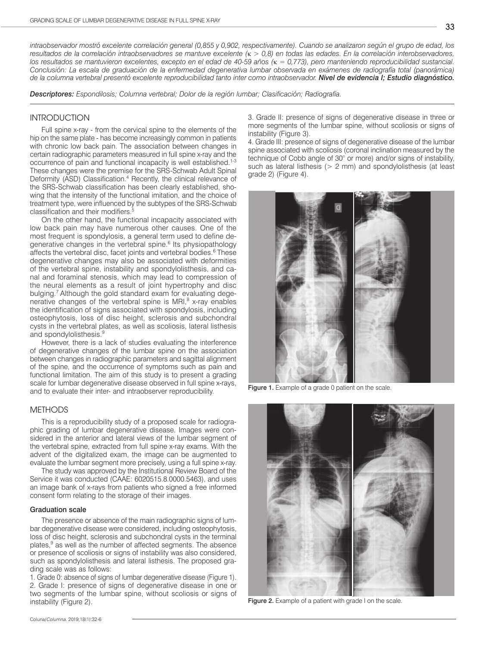*Descriptores: Espondilosis; Columna vertebral; Dolor de la región lumbar; Clasificación; Radiografía.*

## **INTRODUCTION**

Full spine x-ray - from the cervical spine to the elements of the hip on the same plate - has become increasingly common in patients with chronic low back pain. The association between changes in certain radiographic parameters measured in full spine x-ray and the occurrence of pain and functional incapacity is well established.<sup>1-3</sup> These changes were the premise for the SRS-Schwab Adult Spinal Deformity (ASD) Classification.<sup>4</sup> Recently, the clinical relevance of the SRS-Schwab classification has been clearly established, showing that the intensity of the functional imitation, and the choice of treatment type, were influenced by the subtypes of the SRS-Schwab classification and their modifiers.<sup>5</sup>

On the other hand, the functional incapacity associated with low back pain may have numerous other causes. One of the most frequent is spondylosis, a general term used to define degenerative changes in the vertebral spine.<sup>6</sup> Its physiopathology affects the vertebral disc, facet joints and vertebral bodies.<sup>6</sup> These degenerative changes may also be associated with deformities of the vertebral spine, instability and spondylolisthesis, and canal and foraminal stenosis, which may lead to compression of the neural elements as a result of joint hypertrophy and disc bulging.7 Although the gold standard exam for evaluating degenerative changes of the vertebral spine is MRI,<sup>8</sup> x-ray enables the identification of signs associated with spondylosis, including osteophytosis, loss of disc height, sclerosis and subchondral cysts in the vertebral plates, as well as scoliosis, lateral listhesis and spondylolisthesis.<sup>9</sup>

However, there is a lack of studies evaluating the interference of degenerative changes of the lumbar spine on the association between changes in radiographic parameters and sagittal alignment of the spine, and the occurrence of symptoms such as pain and functional limitation. The aim of this study is to present a grading scale for lumbar degenerative disease observed in full spine x-rays, and to evaluate their inter- and intraobserver reproducibility.

## **METHODS**

This is a reproducibility study of a proposed scale for radiographic grading of lumbar degenerative disease. Images were considered in the anterior and lateral views of the lumbar segment of the vertebral spine, extracted from full spine x-ray exams. With the advent of the digitalized exam, the image can be augmented to evaluate the lumbar segment more precisely, using a full spine x-ray.

The study was approved by the Institutional Review Board of the Service it was conducted (CAAE: 6020515.8.0000.5463), and uses an image bank of x-rays from patients who signed a free informed consent form relating to the storage of their images.

#### Graduation scale

The presence or absence of the main radiographic signs of lumbar degenerative disease were considered, including osteophytosis, loss of disc height, sclerosis and subchondral cysts in the terminal plates,<sup>9</sup> as well as the number of affected segments. The absence or presence of scoliosis or signs of instability was also considered, such as spondylolisthesis and lateral listhesis. The proposed grading scale was as follows:

1. Grade 0: absence of signs of lumbar degenerative disease (Figure 1). 2. Grade I: presence of signs of degenerative disease in one or two segments of the lumbar spine, without scoliosis or signs of instability (Figure 2).

3. Grade II: presence of signs of degenerative disease in three or more segments of the lumbar spine, without scoliosis or signs of instability (Figure 3).

4. Grade III: presence of signs of degenerative disease of the lumbar spine associated with scoliosis (coronal inclination measured by the technique of Cobb angle of 30° or more) and/or signs of instability, such as lateral listhesis (> 2 mm) and spondylolisthesis (at least grade 2) (Figure 4).



Figure 1. Example of a grade 0 patient on the scale.



Figure 2. Example of a patient with grade I on the scale.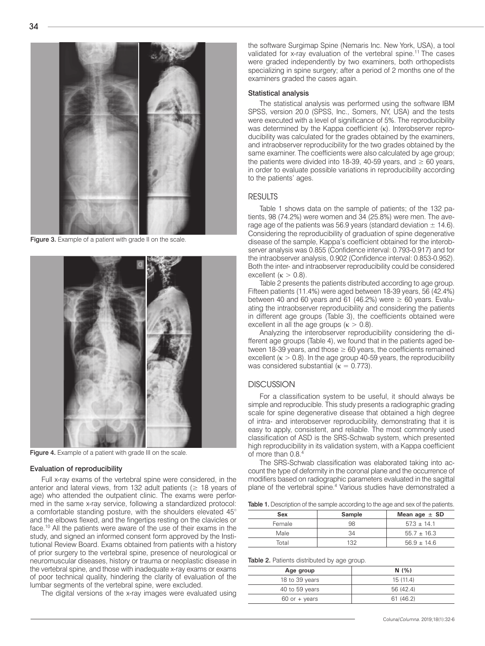

Figure 3. Example of a patient with grade II on the scale.



Figure 4. Example of a patient with grade III on the scale.

#### Evaluation of reproducibility

Full x-ray exams of the vertebral spine were considered, in the anterior and lateral views, from 132 adult patients ( $\geq$  18 years of age) who attended the outpatient clinic. The exams were performed in the same x-ray service, following a standardized protocol: a comfortable standing posture, with the shoulders elevated 45° and the elbows flexed, and the fingertips resting on the clavicles or face.<sup>10</sup> All the patients were aware of the use of their exams in the study, and signed an informed consent form approved by the Institutional Review Board. Exams obtained from patients with a history of prior surgery to the vertebral spine, presence of neurological or neuromuscular diseases, history or trauma or neoplastic disease in the vertebral spine, and those with inadequate x-ray exams or exams of poor technical quality, hindering the clarity of evaluation of the lumbar segments of the vertebral spine, were excluded.

The digital versions of the x-ray images were evaluated using

the software Surgimap Spine (Nemaris Inc. New York, USA), a tool validated for x-ray evaluation of the vertebral spine.11 The cases were graded independently by two examiners, both orthopedists specializing in spine surgery; after a period of 2 months one of the examiners graded the cases again.

## Statistical analysis

The statistical analysis was performed using the software IBM SPSS, version 20.0 (SPSS, Inc., Somers, NY, USA) and the tests were executed with a level of significance of 5%. The reproducibility was determined by the Kappa coefficient (κ). Interobserver reproducibility was calculated for the grades obtained by the examiners, and intraobserver reproducibility for the two grades obtained by the same examiner. The coefficients were also calculated by age group; the patients were divided into 18-39, 40-59 years, and  $\geq 60$  years, in order to evaluate possible variations in reproducibility according to the patients' ages.

# RESULTS

Table 1 shows data on the sample of patients; of the 132 patients, 98 (74.2%) were women and 34 (25.8%) were men. The average age of the patients was 56.9 years (standard deviation  $\pm$  14.6). Considering the reproducibility of graduation of spine degenerative disease of the sample, Kappa's coefficient obtained for the interobserver analysis was 0.855 (Confidence interval: 0.793-0.917) and for the intraobserver analysis, 0.902 (Confidence interval: 0.853-0.952). Both the inter- and intraobserver reproducibility could be considered excellent ( $\kappa > 0.8$ ).

Table 2 presents the patients distributed according to age group. Fifteen patients (11.4%) were aged between 18-39 years, 56 (42.4%) between 40 and 60 years and 61 (46.2%) were  $\geq$  60 years. Evaluating the intraobserver reproducibility and considering the patients in different age groups (Table 3), the coefficients obtained were excellent in all the age groups ( $\kappa > 0.8$ ).

Analyzing the interobserver reproducibility considering the different age groups (Table 4), we found that in the patients aged between 18-39 years, and those  $\geq 60$  years, the coefficients remained excellent  $(\kappa > 0.8)$ . In the age group 40-59 years, the reproducibility was considered substantial ( $\kappa = 0.773$ ).

## **DISCUSSION**

For a classification system to be useful, it should always be simple and reproducible. This study presents a radiographic grading scale for spine degenerative disease that obtained a high degree of intra- and interobserver reproducibility, demonstrating that it is easy to apply, consistent, and reliable. The most commonly used classification of ASD is the SRS-Schwab system, which presented high reproducibility in its validation system, with a Kappa coefficient of more than 0.8.4

The SRS-Schwab classification was elaborated taking into account the type of deformity in the coronal plane and the occurrence of modifiers based on radiographic parameters evaluated in the sagittal plane of the vertebral spine.<sup>4</sup> Various studies have demonstrated a

Table 1. Description of the sample according to the age and sex of the patients.

| Sex    | <b>Sample</b> | Mean age $\pm$ SD |
|--------|---------------|-------------------|
| Female | 98            | $57.3 \pm 14.1$   |
| Male   | 34            | $55.7 \pm 16.3$   |
| Total  | 132           | $56.9 \pm 14.6$   |

Table 2. Patients distributed by age group.

| Age group         | N(% )     |  |  |  |
|-------------------|-----------|--|--|--|
| 18 to 39 years    | 15(11.4)  |  |  |  |
| 40 to 59 years    | 56 (42.4) |  |  |  |
| $60$ or $+$ years | 61(46.2)  |  |  |  |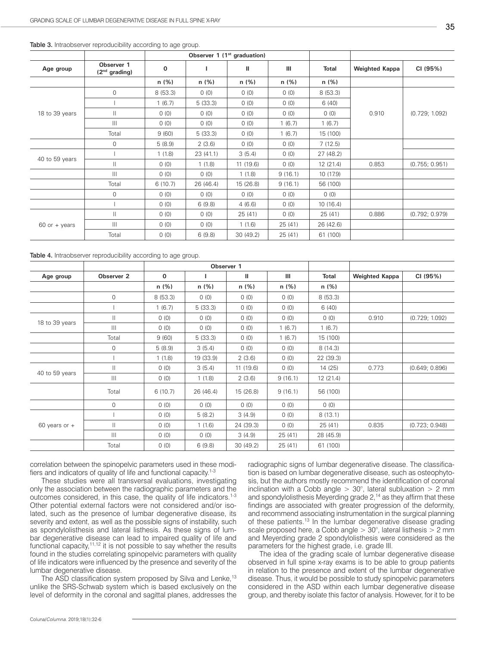|                 |                               | Observer 1 (1 <sup>st</sup> graduation) |           |              |         |              |                       |                |
|-----------------|-------------------------------|-----------------------------------------|-----------|--------------|---------|--------------|-----------------------|----------------|
| Age group       | Observer 1<br>$(2nd$ grading) | $\mathbf 0$                             |           | $\mathbf{H}$ | III     | <b>Total</b> | <b>Weighted Kappa</b> | CI (95%)       |
|                 |                               | n(%)                                    | n(%)      | n(%)         | n(%)    | n(%)         |                       |                |
| 18 to 39 years  | $\overline{0}$                | 8(53.3)                                 | 0(0)      | 0(0)         | 0(0)    | 8(53.3)      | 0.910                 | (0.729; 1.092) |
|                 |                               | 1(6.7)                                  | 5(33.3)   | 0(0)         | 0(0)    | 6(40)        |                       |                |
|                 | $\mathbf{  }$                 | 0(0)                                    | 0(0)      | 0(0)         | 0(0)    | 0(0)         |                       |                |
|                 | $\mathbf{III}$                | 0(0)                                    | 0(0)      | 0(0)         | 1(6.7)  | 1(6.7)       |                       |                |
|                 | Total                         | 9(60)                                   | 5(33.3)   | 0(0)         | 1(6.7)  | 15 (100)     |                       |                |
|                 | 0                             | 5(8.9)                                  | 2(3.6)    | 0(0)         | 0(0)    | 7(12.5)      |                       |                |
| 40 to 59 years  |                               | 1(1.8)                                  | 23 (41.1) | 3(5.4)       | 0(0)    | 27(48.2)     |                       |                |
|                 | $\mathbf{  }$                 | 0(0)                                    | 1(1.8)    | 11(19.6)     | 0(0)    | 12(21.4)     | 0.853                 | (0.755; 0.951) |
|                 | $\mathbb{H}$                  | 0(0)                                    | 0(0)      | 1(1.8)       | 9(16.1) | 10 (17.9)    |                       |                |
|                 | Total                         | 6(10.7)                                 | 26 (46.4) | 15 (26.8)    | 9(16.1) | 56 (100)     |                       |                |
|                 | $\overline{0}$                | 0(0)                                    | 0(0)      | 0(0)         | 0(0)    | 0(0)         |                       |                |
|                 |                               | 0(0)                                    | 6(9.8)    | 4(6.6)       | 0(0)    | 10(16.4)     |                       |                |
| $60$ or + years | $\mathbf{  }$                 | 0(0)                                    | 0(0)      | 25(41)       | (0)     | 25(41)       | 0.886                 | (0.792; 0.979) |
|                 | $\mathbb{H}$                  | 0(0)                                    | 0(0)      | 1(1.6)       | 25(41)  | 26 (42.6)    |                       |                |
|                 | Total                         | 0(0)                                    | 6(9.8)    | 30(49.2)     | 25(41)  | 61 (100)     |                       |                |

Table 3. Intraobserver reproducibility according to age group.

Table 4. Intraobserver reproducibility according to age group.

|                   |                       | Observer 1   |           |           |         |              |                       |                |
|-------------------|-----------------------|--------------|-----------|-----------|---------|--------------|-----------------------|----------------|
| Age group         | Observer <sub>2</sub> | $\mathbf{0}$ |           | Ш         | Ш       | <b>Total</b> | <b>Weighted Kappa</b> | CI (95%)       |
|                   |                       | n(%)         | n(%)      | n(%)      | n(%)    | n(%)         |                       |                |
|                   | $\mathbf{0}$          | 8(53.3)      | 0(0)      | 0(0)      | 0(0)    | 8(53.3)      |                       |                |
|                   |                       | 1(6.7)       | 5(33.3)   | 0(0)      | 0(0)    | 6(40)        |                       |                |
| 18 to 39 years    | $\mathbf{H}$          | 0(0)         | 0(0)      | 0(0)      | 0(0)    | 0(0)         | 0.910                 | (0.729; 1.092) |
|                   | $\mathbf{III}$        | 0(0)         | 0(0)      | 0(0)      | 1(6.7)  | 1(6.7)       |                       |                |
|                   | Total                 | 9(60)        | 5(33.3)   | 0(0)      | 1(6.7)  | 15 (100)     |                       |                |
|                   | 0                     | 5(8.9)       | 3(5.4)    | 0(0)      | 0(0)    | 8(14.3)      |                       |                |
|                   |                       | 1(1.8)       | 19 (33.9) | 2(3.6)    | 0(0)    | 22 (39.3)    |                       |                |
| 40 to 59 years    | $\mathbf{  }$         | 0(0)         | 3(5.4)    | 11(19.6)  | 0(0)    | 14 (25)      | 0.773                 | (0.649; 0.896) |
|                   | $\mathbf{III}$        | 0(0)         | 1(1.8)    | 2(3.6)    | 9(16.1) | 12(21.4)     |                       |                |
|                   | Total                 | 6(10.7)      | 26 (46.4) | 15(26.8)  | 9(16.1) | 56 (100)     |                       |                |
|                   | $\mathbf{0}$          | 0(0)         | 0(0)      | 0(0)      | 0(0)    | 0(0)         |                       |                |
| $60$ years or $+$ |                       | 0(0)         | 5(8.2)    | 3(4.9)    | 0(0)    | 8(13.1)      |                       |                |
|                   | Ш                     | 0(0)         | 1(1.6)    | 24 (39.3) | 0(0)    | 25(41)       | 0.835                 | (0.723; 0.948) |
|                   | $\mathbf{III}$        | 0(0)         | 0(0)      | 3(4.9)    | 25(41)  | 28 (45.9)    |                       |                |
|                   | Total                 | 0(0)         | 6(9.8)    | 30 (49.2) | 25(41)  | 61 (100)     |                       |                |

correlation between the spinopelvic parameters used in these modifiers and indicators of quality of life and functional capacity.1-3

These studies were all transversal evaluations, investigating only the association between the radiographic parameters and the outcomes considered, in this case, the quality of life indicators.<sup>1-3</sup> Other potential external factors were not considered and/or isolated, such as the presence of lumbar degenerative disease, its severity and extent, as well as the possible signs of instability, such as spondylolisthesis and lateral listhesis. As these signs of lumbar degenerative disease can lead to impaired quality of life and functional capacity, $11,12$  it is not possible to say whether the results found in the studies correlating spinopelvic parameters with quality of life indicators were influenced by the presence and severity of the lumbar degenerative disease.

The ASD classification system proposed by Silva and Lenke,<sup>13</sup> unlike the SRS-Schwab system which is based exclusively on the level of deformity in the coronal and sagittal planes, addresses the

radiographic signs of lumbar degenerative disease. The classification is based on lumbar degenerative disease, such as osteophytosis, but the authors mostly recommend the identification of coronal inclination with a Cobb angle  $> 30^{\circ}$ , lateral subluxation  $> 2$  mm and spondylolisthesis Meyerding grade  $2<sup>14</sup>$  as they affirm that these findings are associated with greater progression of the deformity, and recommend associating instrumentation in the surgical planning of these patients.<sup>13</sup> In the lumbar degenerative disease grading scale proposed here, a Cobb angle > 30°, lateral listhesis > 2 mm and Meyerding grade 2 spondylolisthesis were considered as the parameters for the highest grade, i.e. grade III.

The idea of the grading scale of lumbar degenerative disease observed in full spine x-ray exams is to be able to group patients in relation to the presence and extent of the lumbar degenerative disease. Thus, it would be possible to study spinopelvic parameters considered in the ASD within each lumbar degenerative disease group, and thereby isolate this factor of analysis. However, for it to be